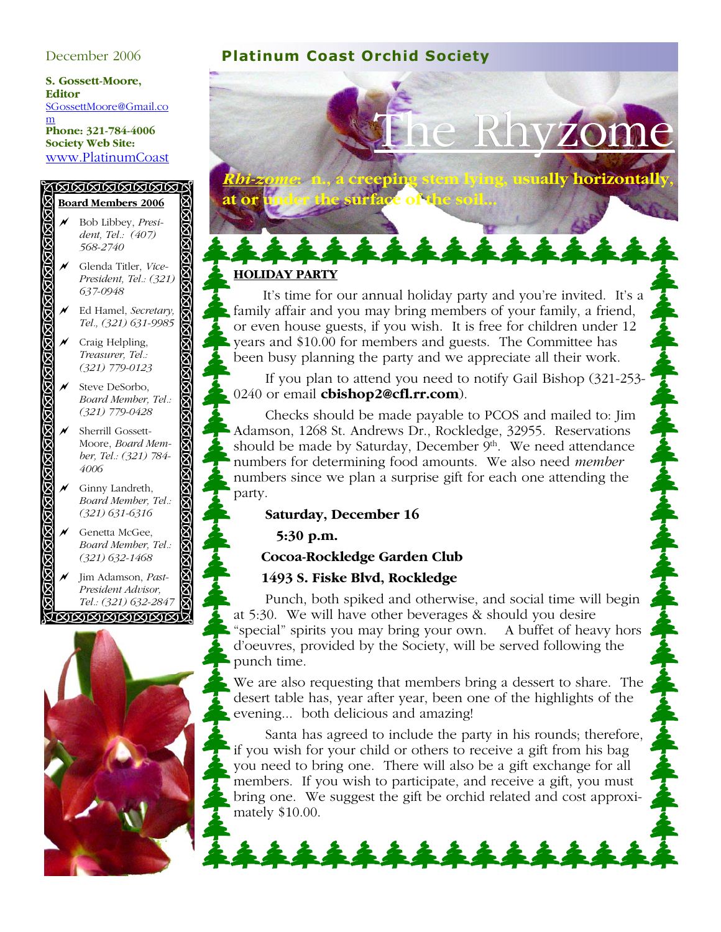**S. Gossett-Moore, Editor**  SGossettMoore@Gmail.co m **Phone: 321-784-4006 Society Web Site:**  www.PlatinumCoast

#### <u>(NANANANA)</u> **Board Members 2006**

- ! Bob Libbey, *President, Tel.: (407) 568-2740* ! Glenda Titler, *Vice-President, Tel.: (321)*
- *637-0948* ! Ed Hamel, *Secretary, Tel., (321) 631-9985*
- $\overline{\mathcal{M}}$  Craig Helpling, *Treasurer, Tel.: (321) 779-0123*

R R

> Steve DeSorbo, *Board Member, Tel.: (321) 779-0428*

⊠

- Sherrill Gossett-Moore, *Board Member, Tel.: (321) 784- 4006*
- $\overline{\mathcal{N}}$  Ginny Landreth, *Board Member, Tel.: (321) 631-6316*
- $\mathcal M$  Genetta McGee, *Board Member, Tel.: (321) 632-1468*

! Jim Adamson, *Past-President Advisor, Tel.: (321) 632-2847* **TRIRIRIRIRIRIRIT** 



## December 2006 **Platinum Coast Orchid Society**

**at or under the surface of the soil...**

# Rhyzo

*Rhi-zome***: n., a creeping stem lying, usually horizontally,** 

#### **HOLIDAY PARTY**

 It's time for our annual holiday party and you're invited. It's a family affair and you may bring members of your family, a friend, or even house guests, if you wish. It is free for children under 12 years and \$10.00 for members and guests. The Committee has been busy planning the party and we appreciate all their work.

144444

 If you plan to attend you need to notify Gail Bishop (321-253- 0240 or email **cbishop2@cfl.rr.com**).

 Checks should be made payable to PCOS and mailed to: Jim Adamson, 1268 St. Andrews Dr., Rockledge, 32955. Reservations should be made by Saturday, December 9th. We need attendance numbers for determining food amounts. We also need *member* numbers since we plan a surprise gift for each one attending the party.

#### **Saturday, December 16**

 **5:30 p.m.** 

#### **Cocoa-Rockledge Garden Club**

#### **1493 S. Fiske Blvd, Rockledge**

 Punch, both spiked and otherwise, and social time will begin at 5:30. We will have other beverages & should you desire "special" spirits you may bring your own. A buffet of heavy hors d'oeuvres, provided by the Society, will be served following the punch time.

We are also requesting that members bring a dessert to share. The desert table has, year after year, been one of the highlights of the evening... both delicious and amazing!

 Santa has agreed to include the party in his rounds; therefore, if you wish for your child or others to receive a gift from his bag you need to bring one. There will also be a gift exchange for all members. If you wish to participate, and receive a gift, you must bring one. We suggest the gift be orchid related and cost approximately \$10.00.

\*\*\*\*\*\*\*\*\*\*\*\*